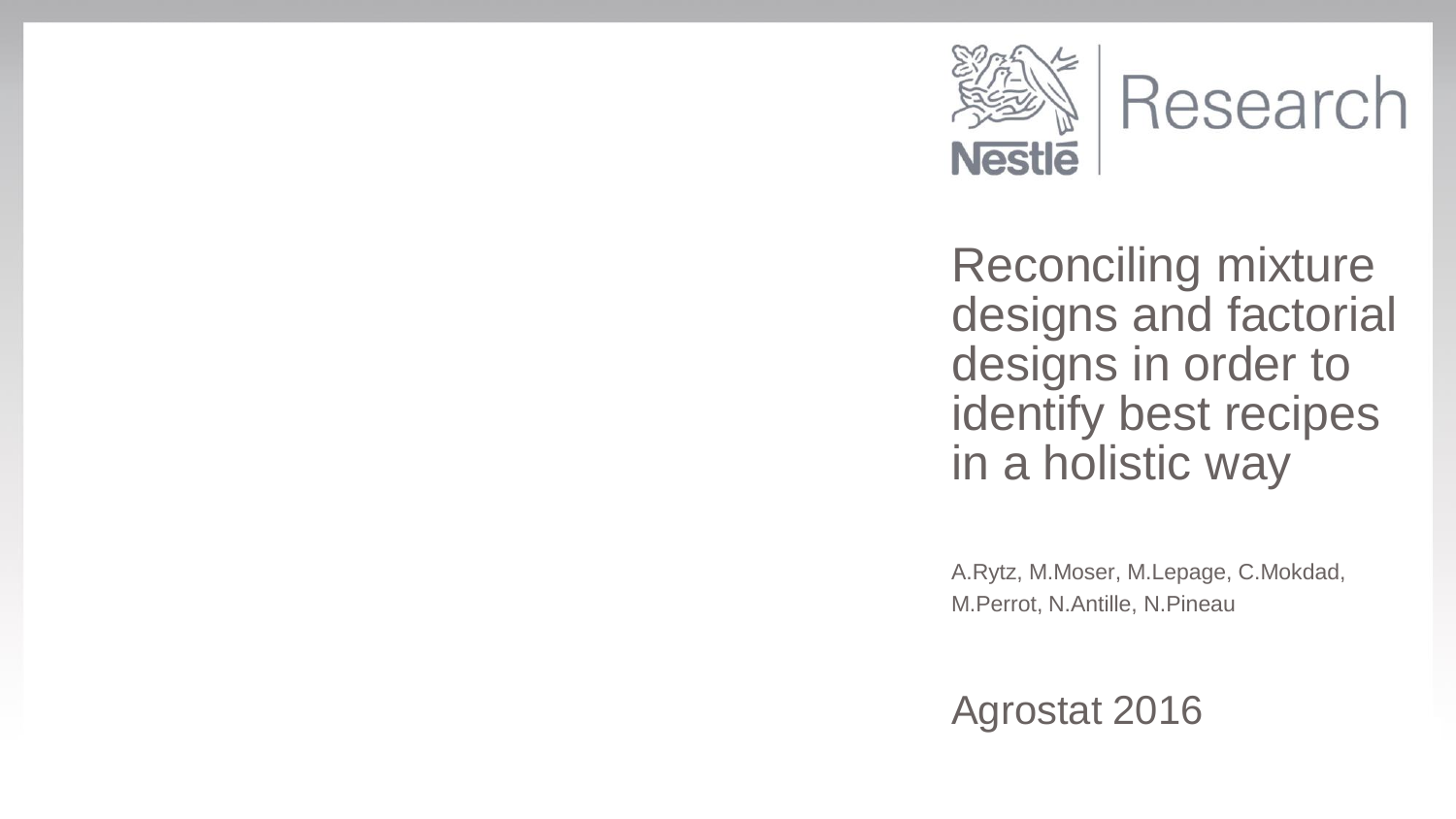

Research

Reconciling mixture designs and factorial designs in order to identify best recipes in a holistic way

A.Rytz, M.Moser, M.Lepage, C.Mokdad, M.Perrot, N.Antille, N.Pineau

Agrostat 2016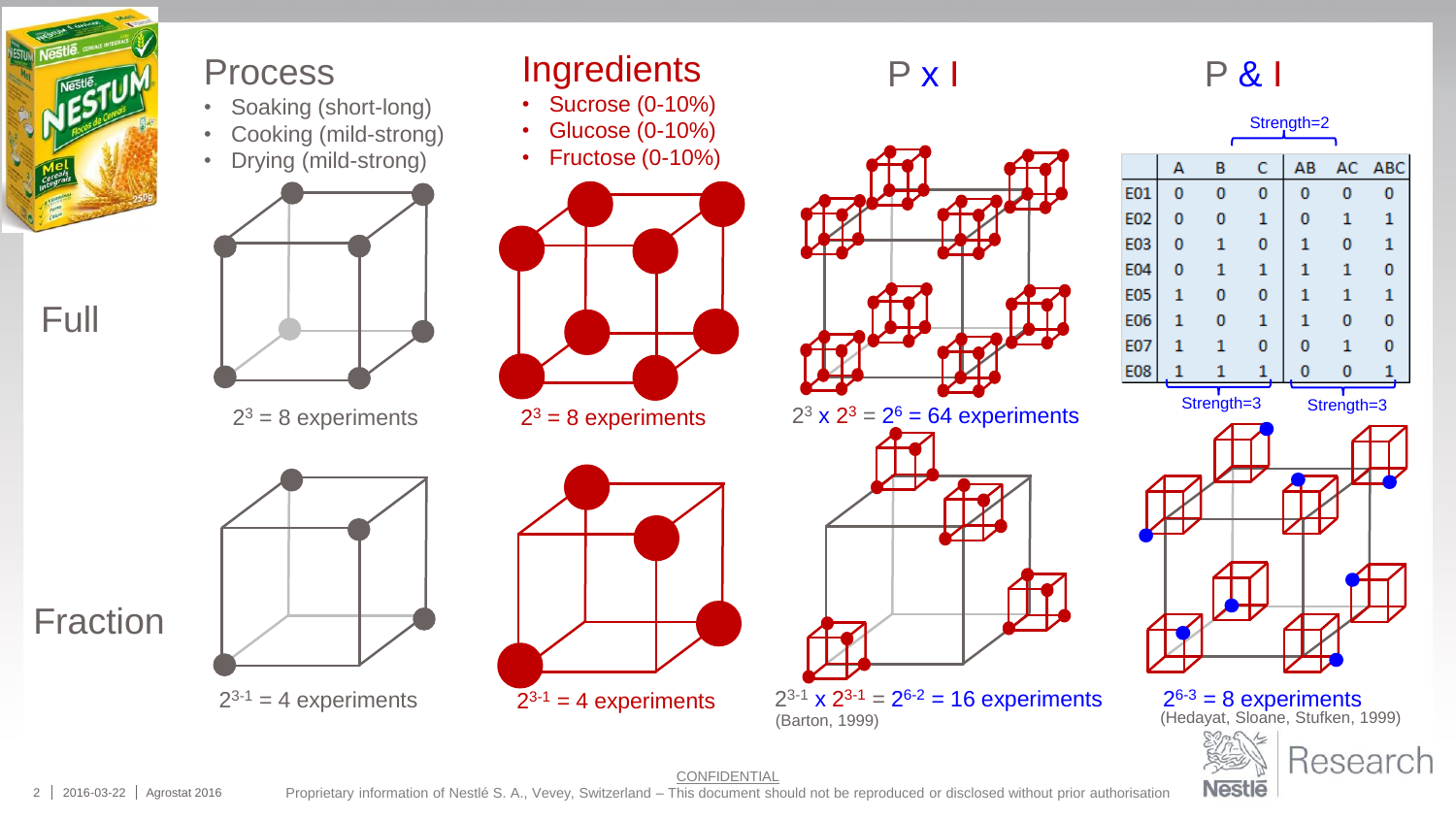

Full

Fraction

#### Process

- Soaking (short-long)
- Cooking (mild-strong) • Drying (mild-strong)



 $2^3$  = 8 experiments



 $2^{3-1}$  = 4 experiments



**Ingredients** • Sucrose (0-10%) • Glucose (0-10%) • Fructose (0-10%)



P x I

 $2^3 \times 2^3 = 2^6 = 64$  experiments



(Barton, 1999)

P & I



|            | А | B          | c | AB |            | AC ABC |
|------------|---|------------|---|----|------------|--------|
| E01        | 0 | 0          | 0 | 0  | 0          | 0      |
| <b>E02</b> | 0 | 0          | 1 | 0  | 1          | 1      |
| E03        | 0 | 1          | 0 | 1  | 0          | 1      |
| <b>E04</b> | 0 | 1          | 1 | 1  | 1          | 0      |
| <b>E05</b> | 1 | 0          | 0 | 1  | 1          | 1      |
| <b>E06</b> | 1 | 0          | 1 | 1  | 0          | 0      |
| <b>E07</b> | 1 | 1          | 0 | 0  | 1          | 0      |
| <b>E08</b> |   |            | 1 | 0  | 0          |        |
|            |   | Strength=3 |   |    | Strength=3 |        |



 $2^{6-3} = 8$  experiments<br>(Hedayat, Sloane, Stufken, 1999) Research **Nestle** 



 $2^{3-1}$  = 4 experiments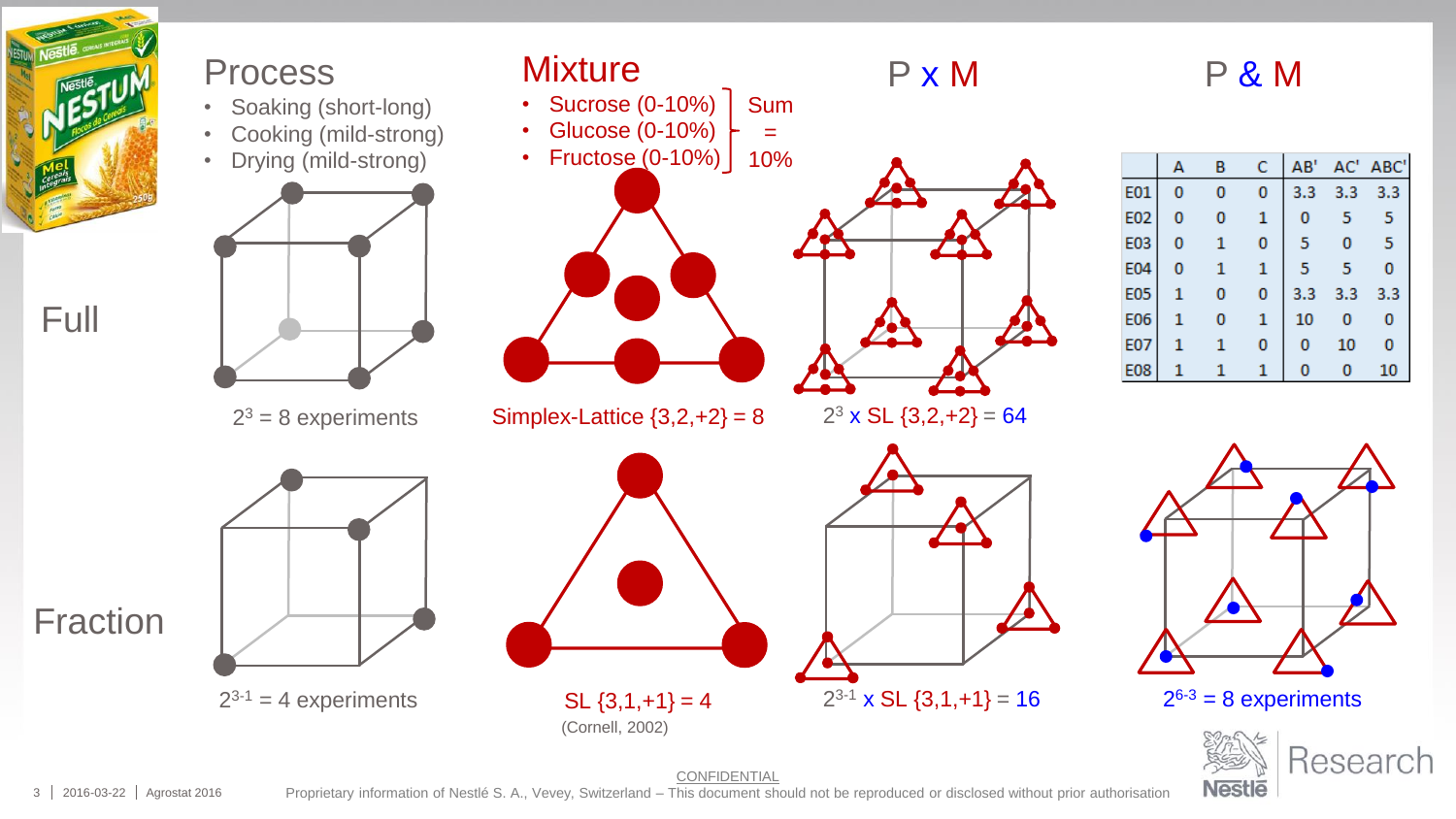

3 2016-03-22 Agrostat 2016 Proprietary information of Nestlé S. A., Vevey, Switzerland – This document should not be reproduced or disclosed without prior authorisation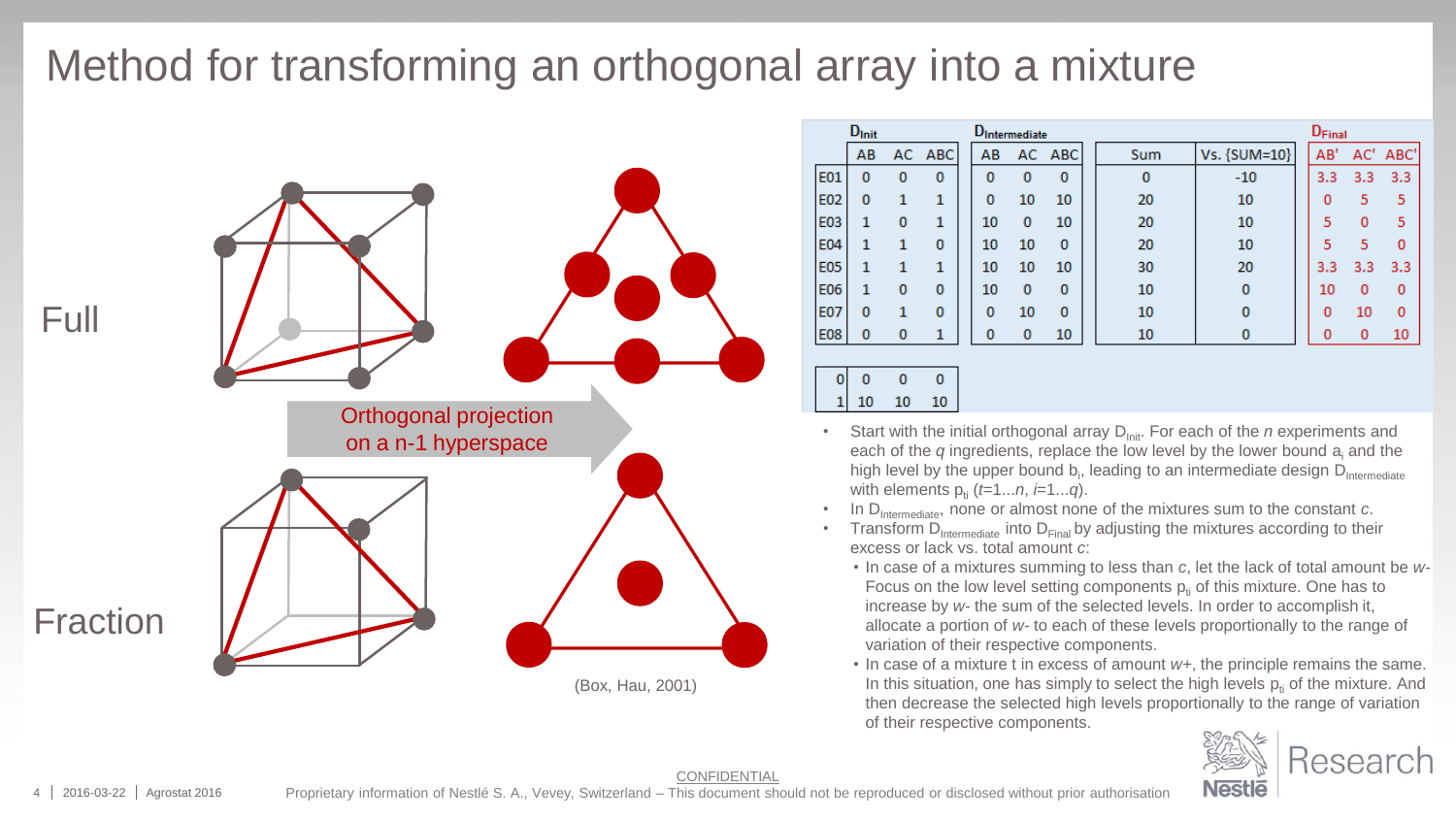### Method for transforming an orthogonal array into a mixture



|            | $D_{Init}$ |          |            | <b>D</b> Intermediate |          |            |     |              |  | D <sub>Final</sub> |     |          |
|------------|------------|----------|------------|-----------------------|----------|------------|-----|--------------|--|--------------------|-----|----------|
|            | AB         | AC       | <b>ABC</b> | AB                    | AC       | <b>ABC</b> | Sum | Vs. {SUM=10} |  | AB'                | AC' | ABC'     |
| E01        | 0          | $\bf{0}$ | $\bf{0}$   | 0                     | $\bf{0}$ | 0          | 0   | $-10$        |  | 3.3                | 3.3 | 3.3      |
| E02        | 0          | 1        | 1          | 0                     | 10       | 10         | 20  | 10           |  | 0                  | 5   | 5        |
| E03        |            | $\bf{0}$ | 1          | 10                    | 0        | 10         | 20  | 10           |  | 5                  | 0   | 5        |
| E04        |            | 1        | $\bf{0}$   | 10                    | 10       | $\Omega$   | 20  | 10           |  | 5                  | 5   | $\Omega$ |
| <b>E05</b> |            |          | 1          | 10                    | 10       | 10         | 30  | 20           |  | 3.3                | 3.3 | 3.3      |
| E06        | 1          | 0        | 0          | 10                    | 0        | $\Omega$   | 10  | 0            |  | 10                 | 0   | $\Omega$ |
| <b>E07</b> | $\bf{0}$   |          | $\bf{0}$   | $\bf{0}$              | 10       | 0          | 10  | $\bf{0}$     |  | 0                  | 10  | 0        |
| <b>E08</b> | 0          | 0        | 1          | 0                     | 0        | 10         | 10  | $\bf{0}$     |  | 0                  | 0   | 10       |
|            |            |          |            |                       |          |            |     |              |  |                    |     |          |

 $\mathbf{0}$  $\mathbf{0}$  $\mathbf{0}$ 10 10 10

- **on a n-1 hyperspace** Start with the initial orthogonal array D<sub>Init</sub>. For each of the *n* experiments and **on a n-1 hyperspace Start with the** *n* **ingredients** replace the low level by the lower bound a and the each of the *q* ingredients, replace the low level by the lower bound a<sup>i</sup> and the high level by the upper bound  $b_i$ , leading to an intermediate design  $D_{\text{Intermediate}}$ with elements  $p_{ii}$  ( $t=1...n$ ,  $i=1...q$ ).
	- In D<sub>Intermediate</sub>, none or almost none of the mixtures sum to the constant *c*.
	- Transform  $\ddot{D}_{\text{intermediate}}$  into  $D_{\text{Final}}$  by adjusting the mixtures according to their excess or lack vs. total amount *c*:
		- In case of a mixtures summing to less than *c*, let the lack of total amount be *w-*Focus on the low level setting components  $p_i$  of this mixture. One has to increase by *w-* the sum of the selected levels. In order to accomplish it, allocate a portion of *w-* to each of these levels proportionally to the range of variation of their respective components.
		- In case of a mixture t in excess of amount *w+*, the principle remains the same. In this situation, one has simply to select the high levels  $p<sub>i</sub>$  of the mixture. And then decrease the selected high levels proportionally to the range of variation of their respective components.

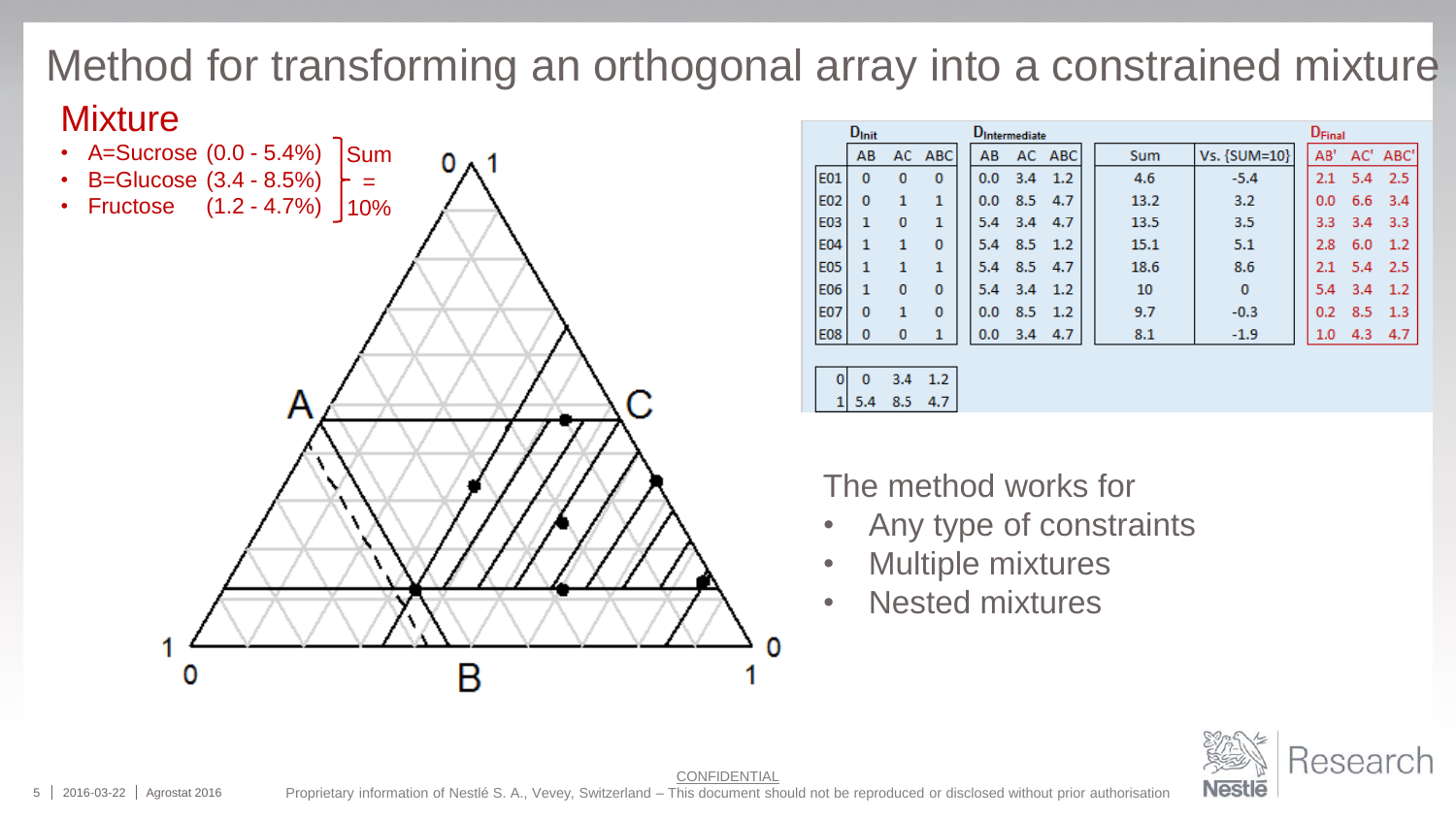## Method for transforming an orthogonal array into a constrained mixture

o

#### **Mixture**



|              | $D_{Init}$  |          |            | <b>D</b> Intermediate |     |        |      | D <sub>Final</sub> |  |     |     |          |  |  |
|--------------|-------------|----------|------------|-----------------------|-----|--------|------|--------------------|--|-----|-----|----------|--|--|
|              | AB          | AC.      | <b>ABC</b> | AB                    |     | AC ABC | Sum  | Vs. {SUM=10}       |  | AB' |     | AC' ABC' |  |  |
| <b>E01</b>   | 0           | $\bf{0}$ | 0          | 0.0                   | 3.4 | 1.2    | 4.6  | $-5.4$             |  | 2.1 | 5.4 | 2.5      |  |  |
| E02          | $\mathbf 0$ | 1        | 1          | 0.0                   | 8.5 | 4.7    | 13.2 | 3.2                |  | 0.0 | 6.6 | 3.4      |  |  |
| <b>E03</b>   | 1           | 0        | 1          | 5.4                   | 3.4 | 4.7    | 13.5 | 3.5                |  | 3.3 | 3.4 | 3.3      |  |  |
| <b>E04</b>   | 1           | 1        | 0          | 5.4                   | 8.5 | 1.2    | 15.1 | 5.1                |  | 2.8 | 6.0 | 1.2      |  |  |
| <b>E05</b>   | 1           | 1        | 1          | 5.4                   | 8.5 | 4.7    | 18.6 | 8.6                |  | 2.1 | 5.4 | 2.5      |  |  |
| <b>E06</b>   | 1           | 0        | 0          | 5.4                   | 3.4 | 1.2    | 10   | $\mathbf{0}$       |  | 5.4 | 3.4 | 1.2      |  |  |
| <b>E07</b>   | $\bf{0}$    | 1        | 0          | 0.0                   | 8.5 | 1.2    | 9.7  | $-0.3$             |  | 0.2 | 8.5 | 1.3      |  |  |
| <b>E08</b>   | 0           | 0        | 1          | 0.0                   | 3.4 | 4.7    | 8.1  | $-1.9$             |  | 1.0 | 4.3 | 4.7      |  |  |
|              |             |          |            |                       |     |        |      |                    |  |     |     |          |  |  |
| $\mathbf{0}$ | $\mathbf 0$ | 3.4      | 1.2        |                       |     |        |      |                    |  |     |     |          |  |  |

The method works for

- Any type of constraints
- Multiple mixtures

 $1 \overline{)5.4}$  8.5 4.7

• Nested mixtures

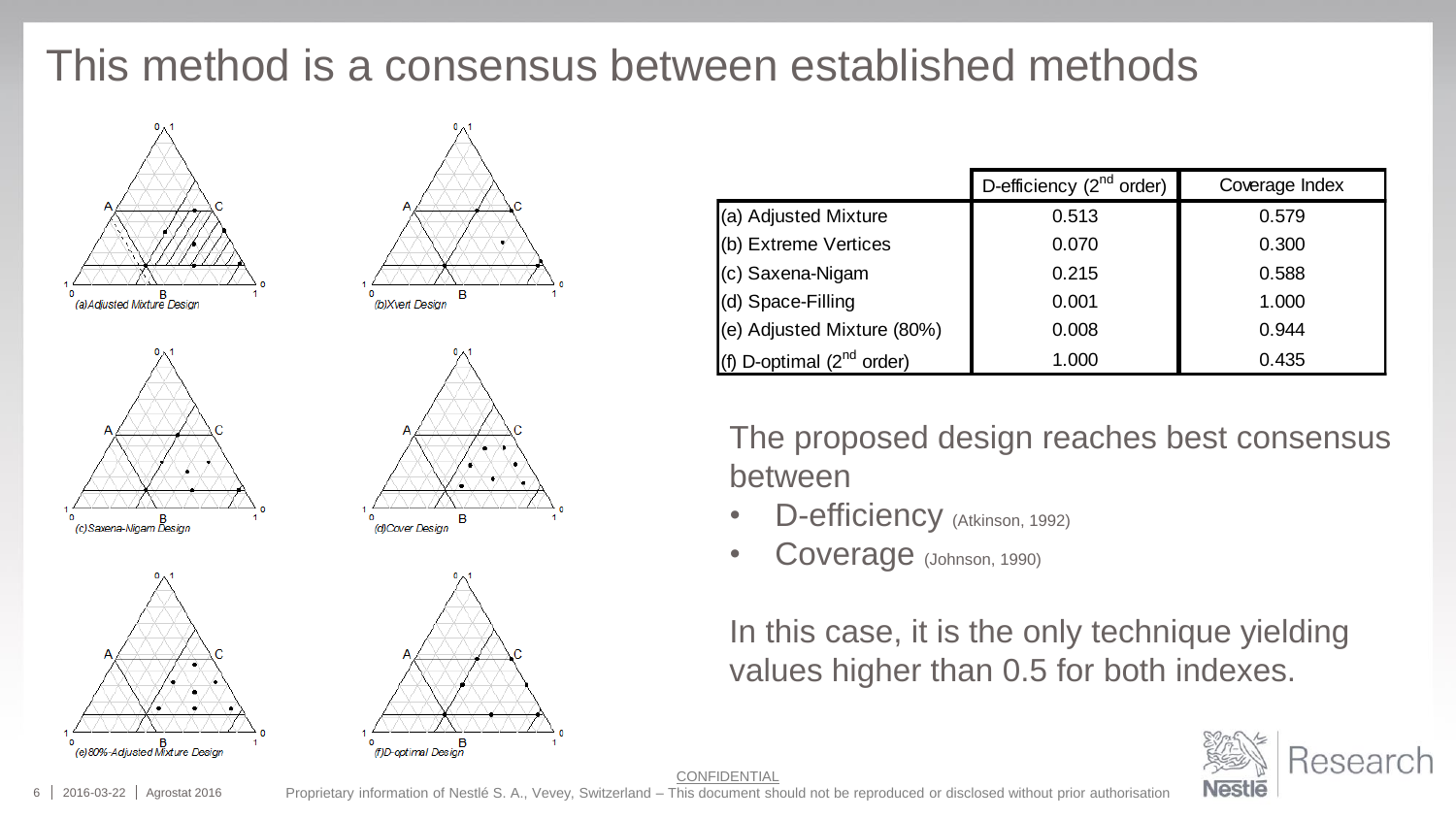## This method is a consensus between established methods













| D-efficiency $(2^{nd}$ order)<br>Coverage Index                                                                    |       |       |  |  |  |  |  |  |  |  |  |
|--------------------------------------------------------------------------------------------------------------------|-------|-------|--|--|--|--|--|--|--|--|--|
| (a) Adjusted Mixture                                                                                               | 0.513 | 0.579 |  |  |  |  |  |  |  |  |  |
| (b) Extreme Vertices                                                                                               | 0.070 | 0.300 |  |  |  |  |  |  |  |  |  |
| (c) Saxena-Nigam                                                                                                   | 0.215 | 0.588 |  |  |  |  |  |  |  |  |  |
| (d) Space-Filling                                                                                                  | 0.001 | 1.000 |  |  |  |  |  |  |  |  |  |
| (e) Adjusted Mixture (80%)                                                                                         | 0.008 | 0.944 |  |  |  |  |  |  |  |  |  |
| (f) D-optimal $(2nd order)$                                                                                        | 1.000 | 0.435 |  |  |  |  |  |  |  |  |  |
| The proposed design reaches best consensus<br>between<br>D-efficiency (Atkinson, 1992)<br>Coverage (Johnson, 1990) |       |       |  |  |  |  |  |  |  |  |  |
| In this case, it is the only technique yielding<br>values higher than 0.5 for both indexes.                        |       |       |  |  |  |  |  |  |  |  |  |

- D-efficiency (Atkinson, 1992)
- Coverage (Johnson, 1990)



CONFIDENTIAL

Proprietary information of Nestlé S. A., Vevey, Switzerland – This document should not be reproduced or disclosed without prior authorisation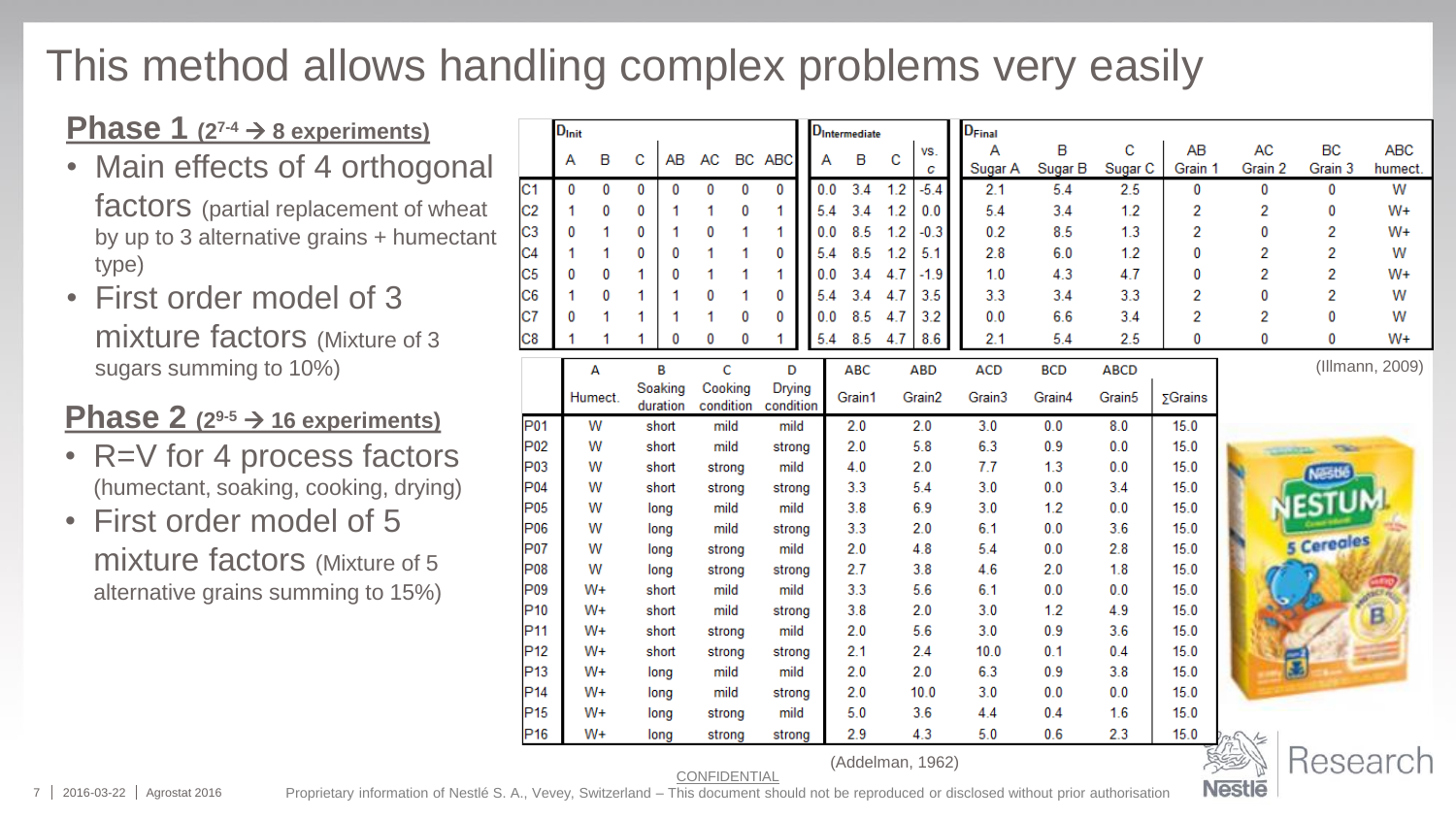## This method allows handling complex problems very easily

#### **Phase 1**  $(2^{7-4} \rightarrow 8 \text{ experiments})$

- Main effects of 4 orthogonal factors (partial replacement of wheat by up to 3 alternative grains + humectant type)
- First order model of 3 mixture factors (Mixture of 3 sugars summing to 10%)

#### **Phase 2**  $(2^{9-5} \rightarrow 16$  experiments)

- R=V for 4 process factors (humectant, soaking, cooking, drying)
- First order model of 5 mixture factors (Mixture of 5 alternative grains summing to 15%)

|                  | D <sub>Init</sub> |         |   |          |           |    |            |  | <b>D</b> Intermediate |     |            | D <sub>Final</sub> |            |                    |                 |         |           |                 |
|------------------|-------------------|---------|---|----------|-----------|----|------------|--|-----------------------|-----|------------|--------------------|------------|--------------------|-----------------|---------|-----------|-----------------|
|                  | А                 | B       | c | AB       | <b>AC</b> | BC | <b>ABC</b> |  | в<br>А                | Ċ   | VS.        | А                  | B          | c                  | AB              | AC      | <b>BC</b> | <b>ABC</b>      |
|                  |                   |         |   |          |           |    |            |  |                       |     | c          | Sugar A            | Sugar B    | Sugar <sub>C</sub> | Grain 1         | Grain 2 | Grain 3   | humect.         |
| lC1              | 0                 | 0       | 0 | 0        | 0         | 0  | 0          |  | 0.0<br>3.4            | 1.2 | $-5.4$     | 2.1                | 5.4        | 2.5                | 0               | 0       | 0         | W               |
| C <sub>2</sub>   | 1                 | 0       | 0 |          | 1         | 0  | 1          |  | 3.4<br>5.4            | 1.2 | 0.0        | 5.4                | 3.4        | 1.2                | 2               | 2       | 0         | $W+$            |
| C <sub>3</sub>   | 0                 | 1       | 0 | 1        | 0         | 1  | 1          |  | 8.5<br>0.0            | 1.2 | $-0.3$     | 0.2                | 8.5        | 1.3                | 2               | 0       | 2         | $W+$            |
| lC4              | 1                 | 1       | 0 | 0        | 1         | 1  | 0          |  | 8.5<br>5.4            | 1.2 | 5.1        | 2.8                | 6.0        | 1.2                | 0               | 2       | 2         | W               |
| C <sub>5</sub>   | 0                 | 0       | 1 | 0        | 1         | 1  | 1          |  | 3.4<br>0.0            | 4.7 | $-1.9$     | 1.0                | 4.3        | 4.7                | 0               | 2       | 2         | $W+$            |
| C <sub>6</sub>   | 1                 | 0       | 1 | 1        | 0         | 1  | 0          |  | 3.4<br>5.4            | 4.7 | 3.5        | 3.3                | 3.4        | 3.3                | 2               | 0       | 2         | W               |
| lc7              | $\mathbf{0}$      | 1       | 1 |          | 1         | 0  | 0          |  | 8.5<br>0.0            | 4.7 | 3.2        | 0.0                | 6.6        | 3.4                | 2               | 2       | 0         | W               |
| C8               | 1                 | 1       | 1 | 0        | 0         | 0  | 1          |  | 8.5<br>5.4            | 4.7 | 8.6        | 2.1                | 5.4        | 2.5                | 0               | 0       | 0         | $W+$            |
|                  |                   | Α       |   | B        |           | c  | D          |  | <b>ABC</b>            |     | <b>ABD</b> | <b>ACD</b>         | <b>BCD</b> | <b>ABCD</b>        |                 |         |           | (Illmann, 2009) |
|                  |                   | Humect. |   | Soaking  | Cooking   |    | Drying     |  |                       |     | Grain2     | Grain3             | Grain4     |                    |                 |         |           |                 |
|                  |                   |         |   | duration | condition |    | condition  |  | Grain1                |     |            |                    |            | Grain5             | $\Sigma$ Grains |         |           |                 |
| IP01             |                   | W       |   | short    | mild      |    | mild       |  | 2.0                   |     | 2.0        | 3.0                | 0.0        | 8.0                | 15.0            |         |           |                 |
| P <sub>02</sub>  |                   | W       |   | short    | mild      |    | strong     |  | 2.0                   |     | 5.8        | 6.3                | 0.9        | 0.0                | 15.0            |         |           |                 |
| P <sub>03</sub>  |                   | W       |   | short    | strong    |    | mild       |  | 4.0                   |     | 2.0        | 7.7                | 1.3        | 0.0                | 15.0            |         |           |                 |
| P <sub>04</sub>  |                   | w       |   | short    | strong    |    | strong     |  | 3.3                   |     | 5.4        | 3.0                | 0.0        | 3.4                | 15.0            |         |           |                 |
| P <sub>05</sub>  |                   | W       |   | long     | mild      |    | mild       |  | 3.8                   |     | 6.9        | 3.0                | 1.2        | 0.0                | 15.0            |         |           |                 |
| P <sub>06</sub>  |                   | W       |   | long     | mild      |    | strong     |  | 3.3                   |     | 2.0        | 6.1                | 0.0        | 3.6                | 15.0            |         | Cereales  |                 |
| P <sub>0</sub> 7 |                   | W       |   | long     | strong    |    | mild       |  | 2.0                   |     | 4.8        | 5.4                | 0.0        | 2.8                | 15.0            |         |           |                 |
| P <sub>08</sub>  |                   | W       |   | long     | strong    |    | strong     |  | 2.7                   |     | 3.8        | 4.6                | 2.0        | 1.8                | 15.0            |         |           |                 |
| P <sub>09</sub>  |                   | $W+$    |   | short    | mild      |    | mild       |  | 3.3                   |     | 5.6        | 6.1                | 0.0        | 0.0                | 15.0            |         |           |                 |
| P10              |                   | $W+$    |   | short    | mild      |    | strong     |  | 3.8                   |     | 2.0        | 3.0                | 1.2        | 4.9                | 15.0            |         |           | B               |
| P <sub>11</sub>  |                   | $W+$    |   | short    | strong    |    | mild       |  | 2.0                   |     | 5.6        | 3.0                | 0.9        | 3.6                | 15.0            |         |           |                 |
| P12              |                   | $W+$    |   | short    | strong    |    | strong     |  | 2.1                   |     | 2.4        | 10.0               | 0.1        | 0.4                | 15.0            |         |           |                 |
| P13              |                   | $W+$    |   | long     | mild      |    | mild       |  | 2.0                   |     | 2.0        | 6.3                | 0.9        | 3.8                | 15.0            |         |           |                 |
| P14              |                   | $W+$    |   | long     | mild      |    | strong     |  | 2.0                   |     | 10.0       | 3.0                | 0.0        | 0.0                | 15.0            |         |           |                 |
| P15              |                   | $W+$    |   | long     | strong    |    | mild       |  | 5.0                   |     | 3.6        | 4.4                | 0.4        | 1.6                | 15.0            |         |           |                 |
| P <sub>16</sub>  |                   | $W+$    |   | long     | strong    |    | strong     |  | 2.9                   |     | 4.3        | 5.0                | 0.6        | 2.3                | 15.0            |         |           |                 |
| (Addelman, 1962) |                   |         |   |          |           |    |            |  |                       |     |            |                    |            |                    |                 | esearch |           |                 |

**Nestle** 

(Addelman, 1962)

Proprietary information of Nestlé S. A., Vevey, Switzerland – This document should not be reproduced or disclosed without prior authorisation

CONFIDENTIAL